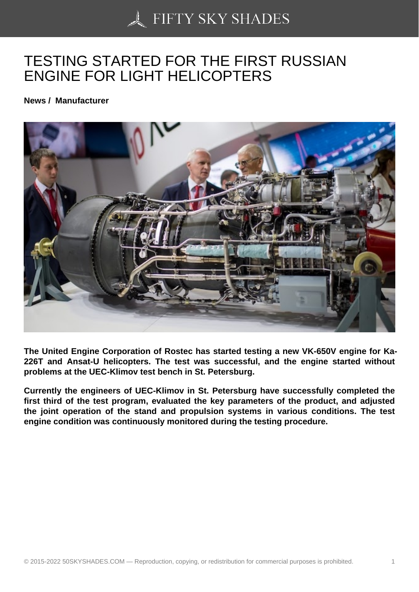## [TESTING STARTED F](https://50skyshades.com)OR THE FIRST RUSSIAN ENGINE FOR LIGHT HELICOPTERS

News / Manufacturer

The United Engine Corporation of Rostec has started testing a new VK-650V engine for Ka-226T and Ansat-U helicopters. The test was successful, and the engine started without problems at the UEC-Klimov test bench in St. Petersburg.

Currently the engineers of UEC-Klimov in St. Petersburg have successfully completed the first third of the test program, evaluated the key parameters of the product, and adjusted the joint operation of the stand and propulsion systems in various conditions. The test engine condition was continuously monitored during the testing procedure.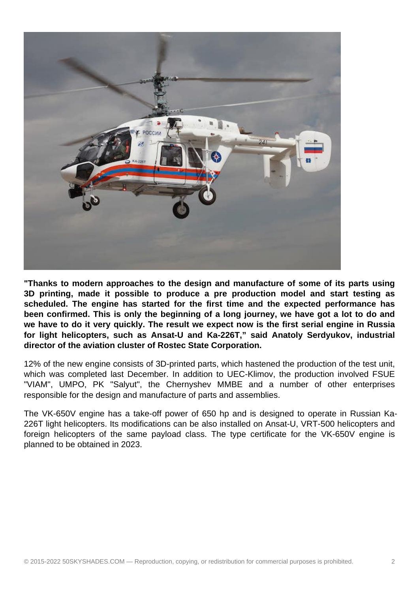

**"Thanks to modern approaches to the design and manufacture of some of its parts using 3D printing, made it possible to produce a pre production model and start testing as scheduled. The engine has started for the first time and the expected performance has been confirmed. This is only the beginning of a long journey, we have got a lot to do and we have to do it very quickly. The result we expect now is the first serial engine in Russia for light helicopters, such as Ansat-U and Ka-226T," said Anatoly Serdyukov, industrial director of the aviation cluster of Rostec State Corporation.**

12% of the new engine consists of 3D-printed parts, which hastened the production of the test unit, which was completed last December. In addition to UEC-Klimov, the production involved FSUE "VIAM", UMPO, PK "Salyut", the Chernyshev MMBE and a number of other enterprises responsible for the design and manufacture of parts and assemblies.

The VK-650V engine has a take-off power of 650 hp and is designed to operate in Russian Ka-226T light helicopters. Its modifications can be also installed on Ansat-U, VRT-500 helicopters and foreign helicopters of the same payload class. The type certificate for the VK-650V engine is planned to be obtained in 2023.